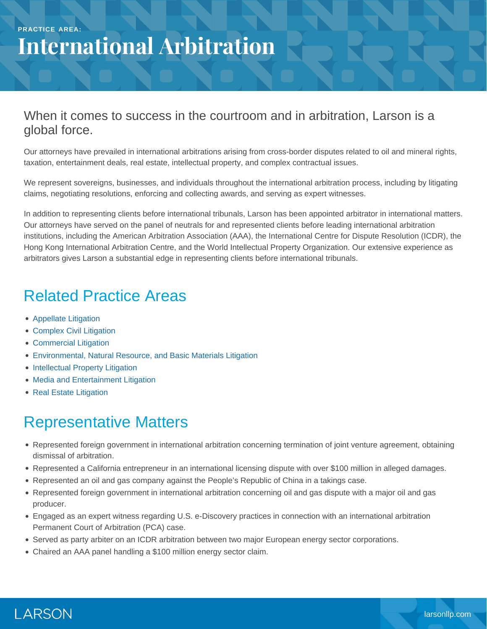# **International Arbitration**

#### When it comes to success in the courtroom and in arbitration, Larson is a global force.

Our attorneys have prevailed in international arbitrations arising from cross-border disputes related to oil and mineral rights, taxation, entertainment deals, real estate, intellectual property, and complex contractual issues.

We represent sovereigns, businesses, and individuals throughout the international arbitration process, including by litigating claims, negotiating resolutions, enforcing and collecting awards, and serving as expert witnesses.

In addition to representing clients before international tribunals, Larson has been appointed arbitrator in international matters. Our attorneys have served on the panel of neutrals for and represented clients before leading international arbitration institutions, including the American Arbitration Association (AAA), the International Centre for Dispute Resolution (ICDR), the Hong Kong International Arbitration Centre, and the World Intellectual Property Organization. Our extensive experience as arbitrators gives Larson a substantial edge in representing clients before international tribunals.

### Related Practice Areas

- [Appellate Litigation](https://www.larsonllp.com/practice-areas/appellate-litigation/)
- [Complex Civil Litigation](https://www.larsonllp.com/practice-areas/complex-civil-litigation/)
- [Commercial Litigation](https://www.larsonllp.com/practice-areas/complex-civil-litigation/commercial-litigation/)
- [Environmental, Natural Resource, and Basic Materials Litigation](https://www.larsonllp.com/practice-areas/complex-civil-litigation/environmental-natural-resource-and-basic-materials-litigation/)
- [Intellectual Property Litigation](https://www.larsonllp.com/practice-areas/complex-civil-litigation/intellectual-property-litigation/)
- [Media and Entertainment Litigation](https://www.larsonllp.com/practice-areas/complex-civil-litigation/media-and-entertainment-litigation/)
- [Real Estate Litigation](https://www.larsonllp.com/practice-areas/complex-civil-litigation/real-estate-litigation/)

## Representative Matters

- Represented foreign government in international arbitration concerning termination of joint venture agreement, obtaining dismissal of arbitration.
- Represented a California entrepreneur in an international licensing dispute with over \$100 million in alleged damages.
- Represented an oil and gas company against the People's Republic of China in a takings case.
- Represented foreign government in international arbitration concerning oil and gas dispute with a major oil and gas producer.
- Engaged as an expert witness regarding U.S. e-Discovery practices in connection with an international arbitration Permanent Court of Arbitration (PCA) case.
- Served as party arbiter on an ICDR arbitration between two major European energy sector corporations.
- Chaired an AAA panel handling a \$100 million energy sector claim.